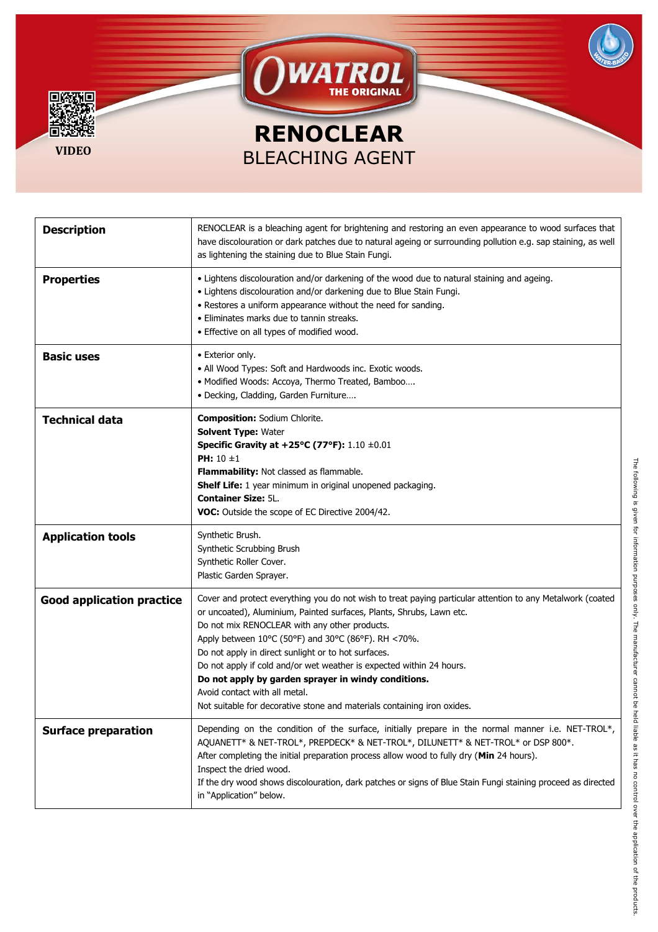

| <b>Description</b>               | RENOCLEAR is a bleaching agent for brightening and restoring an even appearance to wood surfaces that<br>have discolouration or dark patches due to natural ageing or surrounding pollution e.g. sap staining, as well<br>as lightening the staining due to Blue Stain Fungi.                                                                                                                                                                                                                                                                                                                |
|----------------------------------|----------------------------------------------------------------------------------------------------------------------------------------------------------------------------------------------------------------------------------------------------------------------------------------------------------------------------------------------------------------------------------------------------------------------------------------------------------------------------------------------------------------------------------------------------------------------------------------------|
| <b>Properties</b>                | . Lightens discolouration and/or darkening of the wood due to natural staining and ageing.<br>• Lightens discolouration and/or darkening due to Blue Stain Fungi.<br>• Restores a uniform appearance without the need for sanding.<br>• Eliminates marks due to tannin streaks.<br>• Effective on all types of modified wood.                                                                                                                                                                                                                                                                |
| <b>Basic uses</b>                | • Exterior only.<br>• All Wood Types: Soft and Hardwoods inc. Exotic woods.<br>• Modified Woods: Accoya, Thermo Treated, Bamboo<br>· Decking, Cladding, Garden Furniture                                                                                                                                                                                                                                                                                                                                                                                                                     |
| <b>Technical data</b>            | <b>Composition: Sodium Chlorite.</b><br><b>Solvent Type: Water</b><br>Specific Gravity at +25°C (77°F): $1.10 \pm 0.01$<br><b>PH:</b> $10 \pm 1$<br>Flammability: Not classed as flammable.<br><b>Shelf Life:</b> 1 year minimum in original unopened packaging.<br><b>Container Size: 5L.</b><br>VOC: Outside the scope of EC Directive 2004/42.                                                                                                                                                                                                                                            |
| <b>Application tools</b>         | Synthetic Brush.<br>Synthetic Scrubbing Brush<br>Synthetic Roller Cover.<br>Plastic Garden Sprayer.                                                                                                                                                                                                                                                                                                                                                                                                                                                                                          |
| <b>Good application practice</b> | Cover and protect everything you do not wish to treat paying particular attention to any Metalwork (coated<br>or uncoated), Aluminium, Painted surfaces, Plants, Shrubs, Lawn etc.<br>Do not mix RENOCLEAR with any other products.<br>Apply between 10°C (50°F) and 30°C (86°F). RH <70%.<br>Do not apply in direct sunlight or to hot surfaces.<br>Do not apply if cold and/or wet weather is expected within 24 hours.<br>Do not apply by garden sprayer in windy conditions.<br>Avoid contact with all metal.<br>Not suitable for decorative stone and materials containing iron oxides. |
| <b>Surface preparation</b>       | Depending on the condition of the surface, initially prepare in the normal manner i.e. NET-TROL*,<br>AQUANETT* & NET-TROL*, PREPDECK* & NET-TROL*, DILUNETT* & NET-TROL* or DSP 800*.<br>After completing the initial preparation process allow wood to fully dry (Min 24 hours).<br>Inspect the dried wood.<br>If the dry wood shows discolouration, dark patches or signs of Blue Stain Fungi staining proceed as directed<br>in "Application" below.                                                                                                                                      |